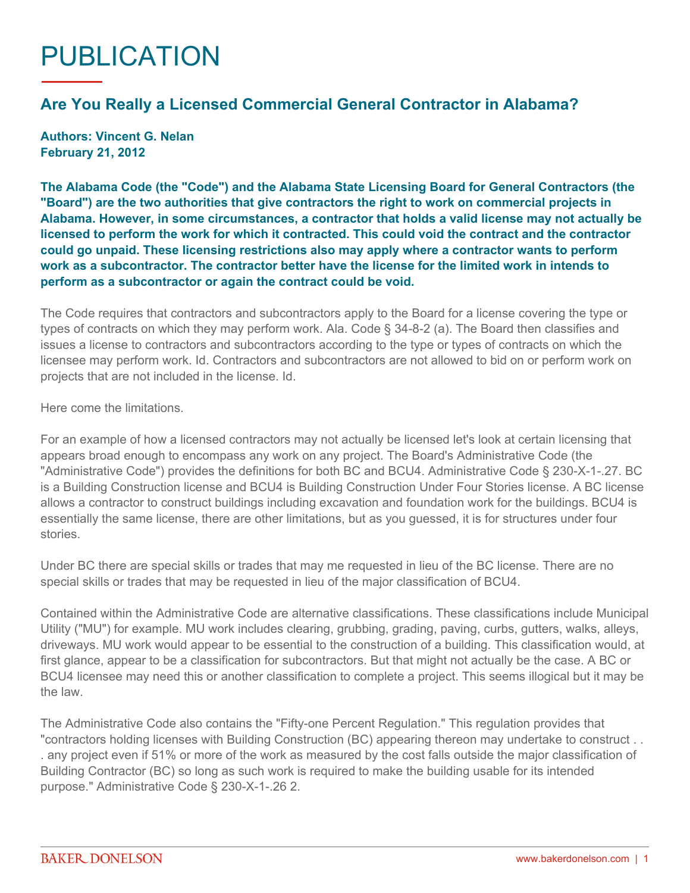## PUBLICATION

## **Are You Really a Licensed Commercial General Contractor in Alabama?**

**Authors: Vincent G. Nelan February 21, 2012**

**The Alabama Code (the "Code") and the Alabama State Licensing Board for General Contractors (the "Board") are the two authorities that give contractors the right to work on commercial projects in Alabama. However, in some circumstances, a contractor that holds a valid license may not actually be licensed to perform the work for which it contracted. This could void the contract and the contractor could go unpaid. These licensing restrictions also may apply where a contractor wants to perform work as a subcontractor. The contractor better have the license for the limited work in intends to perform as a subcontractor or again the contract could be void.**

The Code requires that contractors and subcontractors apply to the Board for a license covering the type or types of contracts on which they may perform work. Ala. Code § 34-8-2 (a). The Board then classifies and issues a license to contractors and subcontractors according to the type or types of contracts on which the licensee may perform work. Id. Contractors and subcontractors are not allowed to bid on or perform work on projects that are not included in the license. Id.

Here come the limitations.

For an example of how a licensed contractors may not actually be licensed let's look at certain licensing that appears broad enough to encompass any work on any project. The Board's Administrative Code (the "Administrative Code") provides the definitions for both BC and BCU4. Administrative Code § 230-X-1-.27. BC is a Building Construction license and BCU4 is Building Construction Under Four Stories license. A BC license allows a contractor to construct buildings including excavation and foundation work for the buildings. BCU4 is essentially the same license, there are other limitations, but as you guessed, it is for structures under four stories.

Under BC there are special skills or trades that may me requested in lieu of the BC license. There are no special skills or trades that may be requested in lieu of the major classification of BCU4.

Contained within the Administrative Code are alternative classifications. These classifications include Municipal Utility ("MU") for example. MU work includes clearing, grubbing, grading, paving, curbs, gutters, walks, alleys, driveways. MU work would appear to be essential to the construction of a building. This classification would, at first glance, appear to be a classification for subcontractors. But that might not actually be the case. A BC or BCU4 licensee may need this or another classification to complete a project. This seems illogical but it may be the law.

The Administrative Code also contains the "Fifty-one Percent Regulation." This regulation provides that "contractors holding licenses with Building Construction (BC) appearing thereon may undertake to construct . . . any project even if 51% or more of the work as measured by the cost falls outside the major classification of Building Contractor (BC) so long as such work is required to make the building usable for its intended purpose." Administrative Code § 230-X-1-.26 2.